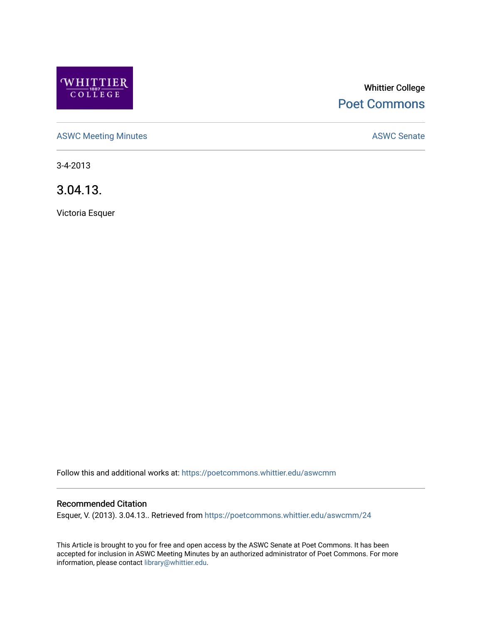

# Whittier College [Poet Commons](https://poetcommons.whittier.edu/)

[ASWC Meeting Minutes](https://poetcommons.whittier.edu/aswcmm) **ASWC Senate** 

3-4-2013

3.04.13.

Victoria Esquer

Follow this and additional works at: [https://poetcommons.whittier.edu/aswcmm](https://poetcommons.whittier.edu/aswcmm?utm_source=poetcommons.whittier.edu%2Faswcmm%2F24&utm_medium=PDF&utm_campaign=PDFCoverPages)

## Recommended Citation

Esquer, V. (2013). 3.04.13.. Retrieved from [https://poetcommons.whittier.edu/aswcmm/24](https://poetcommons.whittier.edu/aswcmm/24?utm_source=poetcommons.whittier.edu%2Faswcmm%2F24&utm_medium=PDF&utm_campaign=PDFCoverPages) 

This Article is brought to you for free and open access by the ASWC Senate at Poet Commons. It has been accepted for inclusion in ASWC Meeting Minutes by an authorized administrator of Poet Commons. For more information, please contact [library@whittier.edu.](mailto:library@whittier.edu)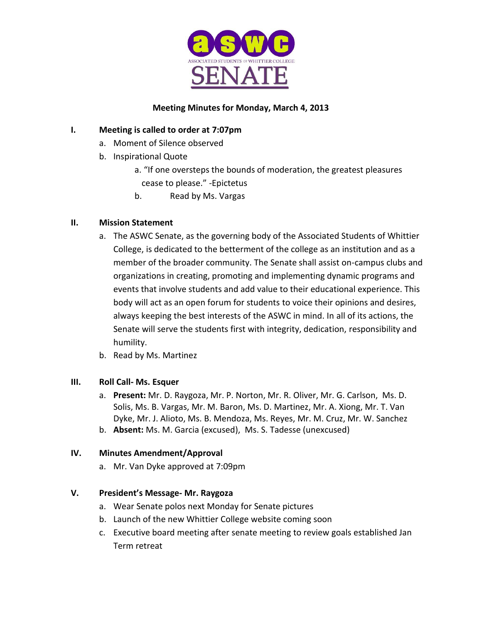

# **Meeting Minutes for Monday, March 4, 2013**

# **I. Meeting is called to order at 7:07pm**

- a. Moment of Silence observed
- b. Inspirational Quote
	- a. "If one oversteps the bounds of moderation, the greatest pleasures cease to please." -Epictetus
	- b. Read by Ms. Vargas

# **II. Mission Statement**

- a. The ASWC Senate, as the governing body of the Associated Students of Whittier College, is dedicated to the betterment of the college as an institution and as a member of the broader community. The Senate shall assist on-campus clubs and organizations in creating, promoting and implementing dynamic programs and events that involve students and add value to their educational experience. This body will act as an open forum for students to voice their opinions and desires, always keeping the best interests of the ASWC in mind. In all of its actions, the Senate will serve the students first with integrity, dedication, responsibility and humility.
- b. Read by Ms. Martinez

# **III. Roll Call- Ms. Esquer**

- a. **Present:** Mr. D. Raygoza, Mr. P. Norton, Mr. R. Oliver, Mr. G. Carlson, Ms. D. Solis, Ms. B. Vargas, Mr. M. Baron, Ms. D. Martinez, Mr. A. Xiong, Mr. T. Van Dyke, Mr. J. Alioto, Ms. B. Mendoza, Ms. Reyes, Mr. M. Cruz, Mr. W. Sanchez
- b. **Absent:** Ms. M. Garcia (excused), Ms. S. Tadesse (unexcused)

# **IV. Minutes Amendment/Approval**

a. Mr. Van Dyke approved at 7:09pm

# **V. President's Message- Mr. Raygoza**

- a. Wear Senate polos next Monday for Senate pictures
- b. Launch of the new Whittier College website coming soon
- c. Executive board meeting after senate meeting to review goals established Jan Term retreat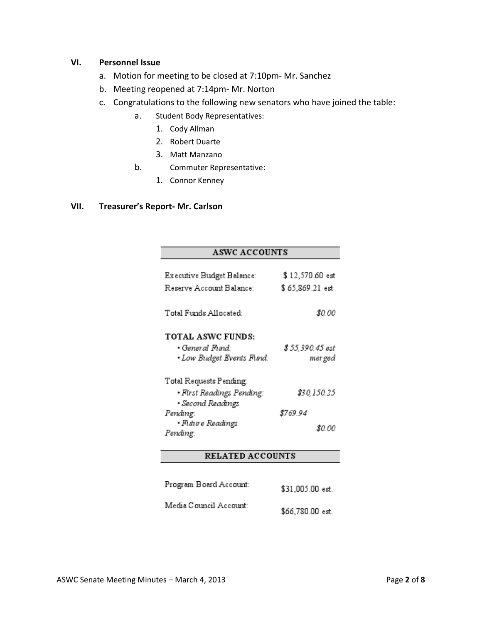#### **VI. Personnel Issue**

- a. Motion for meeting to be closed at 7:10pm- Mr. Sanchez
- b. Meeting reopened at 7:14pm- Mr. Norton
- c. Congratulations to the following new senators who have joined the table:
	- a. Student Body Representatives:
		- 1. Cody Allman
		- 2. Robert Duarte
		- 3. Matt Manzano
	- b. Commuter Representative:
		- 1. Connor Kenney

#### **VII. Treasurer's Report- Mr. Carlson**

## **ASWC ACCOUNTS**

| Executive Budget Balance:<br>Reserve Account Balance:                                                     | \$12,570.60 est<br>\$65,869.21 est |
|-----------------------------------------------------------------------------------------------------------|------------------------------------|
| Total Funds Allocated:                                                                                    | <b>s</b> o oo                      |
| TOTAL ASWC FUNDS:<br>• General Fund:<br>• Low Budget Events Fund:                                         | \$ 55,390.45 est<br>mer ged        |
| Total Requests Pending<br>• First Readings Pending:<br>• Second Readings<br>Pending:<br>• Future Readings | \$30,150.25<br>8769.94             |
| Pending:                                                                                                  | SO 00                              |

## **RELATED ACCOUNTS**

| Program Board Account: | \$31,005.00 est.  |
|------------------------|-------------------|
| Media Council Account: | $$66.780.00$ est. |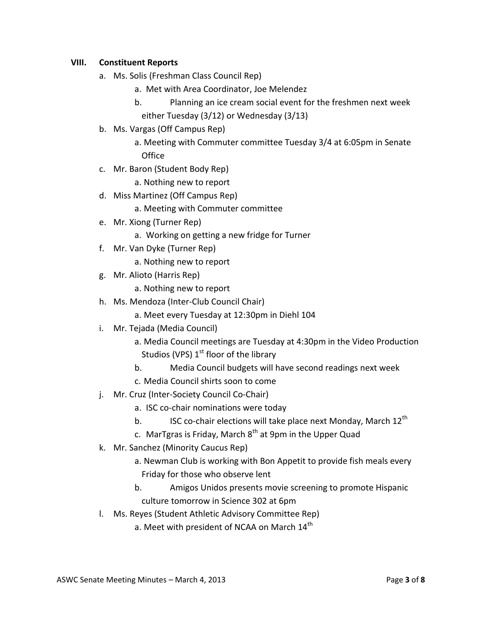## **VIII. Constituent Reports**

- a. Ms. Solis (Freshman Class Council Rep)
	- a. Met with Area Coordinator, Joe Melendez
	- b. Planning an ice cream social event for the freshmen next week either Tuesday (3/12) or Wednesday (3/13)
- b. Ms. Vargas (Off Campus Rep)
	- a. Meeting with Commuter committee Tuesday 3/4 at 6:05pm in Senate **Office**
- c. Mr. Baron (Student Body Rep)
	- a. Nothing new to report
- d. Miss Martinez (Off Campus Rep)
	- a. Meeting with Commuter committee
- e. Mr. Xiong (Turner Rep)
	- a. Working on getting a new fridge for Turner
- f. Mr. Van Dyke (Turner Rep)
	- a. Nothing new to report
- g. Mr. Alioto (Harris Rep)
	- a. Nothing new to report
- h. Ms. Mendoza (Inter-Club Council Chair)
	- a. Meet every Tuesday at 12:30pm in Diehl 104
- i. Mr. Tejada (Media Council)
	- a. Media Council meetings are Tuesday at 4:30pm in the Video Production Studios (VPS)  $1<sup>st</sup>$  floor of the library
	- b. Media Council budgets will have second readings next week
	- c. Media Council shirts soon to come
- j. Mr. Cruz (Inter-Society Council Co-Chair)
	- a. ISC co-chair nominations were today
	- b. ISC co-chair elections will take place next Monday, March  $12^{th}$
	- c. MarTgras is Friday, March  $8<sup>th</sup>$  at 9pm in the Upper Quad
- k. Mr. Sanchez (Minority Caucus Rep)
	- a. Newman Club is working with Bon Appetit to provide fish meals every Friday for those who observe lent
	- b. Amigos Unidos presents movie screening to promote Hispanic culture tomorrow in Science 302 at 6pm
- l. Ms. Reyes (Student Athletic Advisory Committee Rep)
	- a. Meet with president of NCAA on March  $14<sup>th</sup>$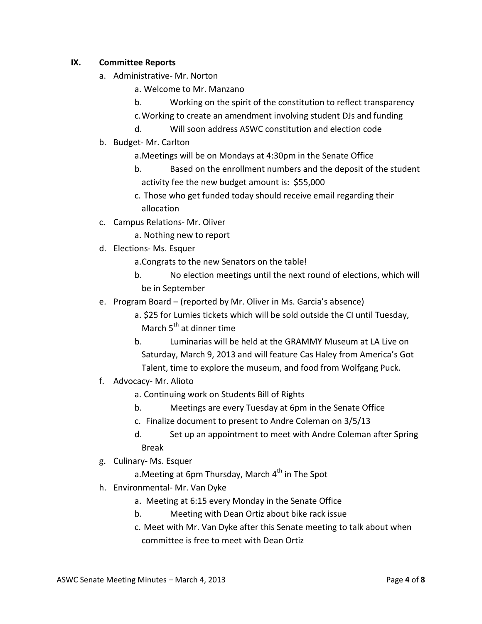## **IX. Committee Reports**

- a. Administrative- Mr. Norton
	- a. Welcome to Mr. Manzano
	- b. Working on the spirit of the constitution to reflect transparency
	- c.Working to create an amendment involving student DJs and funding
	- d. Will soon address ASWC constitution and election code
- b. Budget- Mr. Carlton
	- a.Meetings will be on Mondays at 4:30pm in the Senate Office
	- b. Based on the enrollment numbers and the deposit of the student activity fee the new budget amount is: \$55,000
	- c. Those who get funded today should receive email regarding their allocation
- c. Campus Relations- Mr. Oliver
	- a. Nothing new to report
- d. Elections- Ms. Esquer
	- a.Congrats to the new Senators on the table!
	- b. No election meetings until the next round of elections, which will be in September
- e. Program Board (reported by Mr. Oliver in Ms. Garcia's absence)
	- a. \$25 for Lumies tickets which will be sold outside the CI until Tuesday, March  $5<sup>th</sup>$  at dinner time
	- b. Luminarias will be held at the GRAMMY Museum at LA Live on Saturday, March 9, 2013 and will feature Cas Haley from America's Got Talent, time to explore the museum, and food from Wolfgang Puck.
- f. Advocacy- Mr. Alioto
	- a. Continuing work on Students Bill of Rights
	- b. Meetings are every Tuesday at 6pm in the Senate Office
	- c. Finalize document to present to Andre Coleman on 3/5/13
	- d. Set up an appointment to meet with Andre Coleman after Spring Break
- g. Culinary- Ms. Esquer
	- a. Meeting at 6pm Thursday, March  $4<sup>th</sup>$  in The Spot
- h. Environmental- Mr. Van Dyke
	- a. Meeting at 6:15 every Monday in the Senate Office
	- b. Meeting with Dean Ortiz about bike rack issue
	- c. Meet with Mr. Van Dyke after this Senate meeting to talk about when committee is free to meet with Dean Ortiz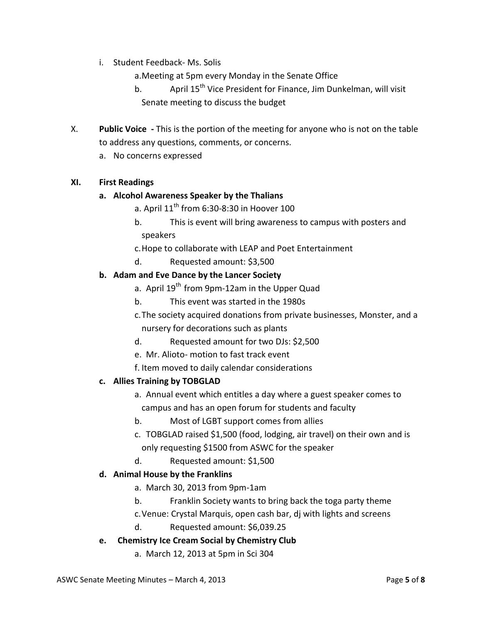i. Student Feedback- Ms. Solis

a.Meeting at 5pm every Monday in the Senate Office

- b. April 15<sup>th</sup> Vice President for Finance, Jim Dunkelman, will visit Senate meeting to discuss the budget
- X. **Public Voice -** This is the portion of the meeting for anyone who is not on the table to address any questions, comments, or concerns.
	- a. No concerns expressed

## **XI. First Readings**

#### **a. Alcohol Awareness Speaker by the Thalians**

- a. April  $11<sup>th</sup>$  from 6:30-8:30 in Hoover 100
- b. This is event will bring awareness to campus with posters and speakers
- c.Hope to collaborate with LEAP and Poet Entertainment
- d. Requested amount: \$3,500

## **b. Adam and Eve Dance by the Lancer Society**

- a. April 19<sup>th</sup> from 9pm-12am in the Upper Quad
- b. This event was started in the 1980s
- c.The society acquired donations from private businesses, Monster, and a nursery for decorations such as plants
- d. Requested amount for two DJs: \$2,500
- e. Mr. Alioto- motion to fast track event
- f. Item moved to daily calendar considerations

# **c. Allies Training by TOBGLAD**

- a. Annual event which entitles a day where a guest speaker comes to campus and has an open forum for students and faculty
- b. Most of LGBT support comes from allies
- c. TOBGLAD raised \$1,500 (food, lodging, air travel) on their own and is only requesting \$1500 from ASWC for the speaker
- d. Requested amount: \$1,500

#### **d. Animal House by the Franklins**

- a. March 30, 2013 from 9pm-1am
- b. Franklin Society wants to bring back the toga party theme
- c.Venue: Crystal Marquis, open cash bar, dj with lights and screens
- d. Requested amount: \$6,039.25
- **e. Chemistry Ice Cream Social by Chemistry Club**
	- a. March 12, 2013 at 5pm in Sci 304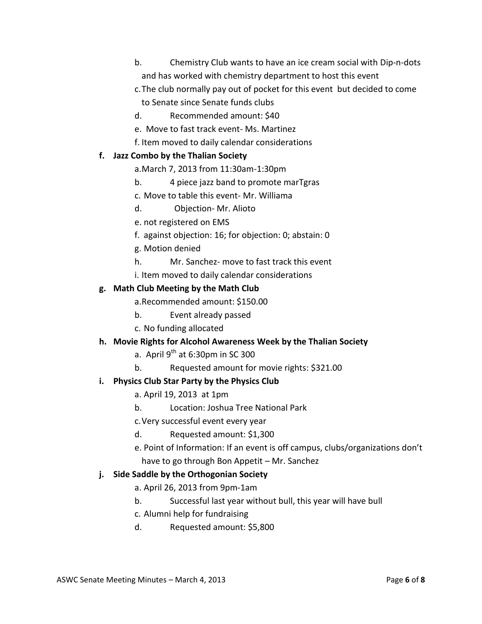- b. Chemistry Club wants to have an ice cream social with Dip-n-dots and has worked with chemistry department to host this event
- c.The club normally pay out of pocket for this event but decided to come
- to Senate since Senate funds clubs
- d. Recommended amount: \$40
- e. Move to fast track event- Ms. Martinez
- f. Item moved to daily calendar considerations

# **f. Jazz Combo by the Thalian Society**

a.March 7, 2013 from 11:30am-1:30pm

- b. 4 piece jazz band to promote marTgras
- c. Move to table this event- Mr. Williama
- d. Objection- Mr. Alioto
- e. not registered on EMS
- f. against objection: 16; for objection: 0; abstain: 0
- g. Motion denied
- h. Mr. Sanchez- move to fast track this event
- i. Item moved to daily calendar considerations

# **g. Math Club Meeting by the Math Club**

a.Recommended amount: \$150.00

- b. Event already passed
- c. No funding allocated

# **h. Movie Rights for Alcohol Awareness Week by the Thalian Society**

- a. April  $9^{th}$  at 6:30pm in SC 300
- b. Requested amount for movie rights: \$321.00

# **i. Physics Club Star Party by the Physics Club**

- a. April 19, 2013 at 1pm
- b. Location: Joshua Tree National Park
- c.Very successful event every year
- d. Requested amount: \$1,300
- e. Point of Information: If an event is off campus, clubs/organizations don't have to go through Bon Appetit – Mr. Sanchez

# **j. Side Saddle by the Orthogonian Society**

- a. April 26, 2013 from 9pm-1am
- b. Successful last year without bull, this year will have bull
- c. Alumni help for fundraising
- d. Requested amount: \$5,800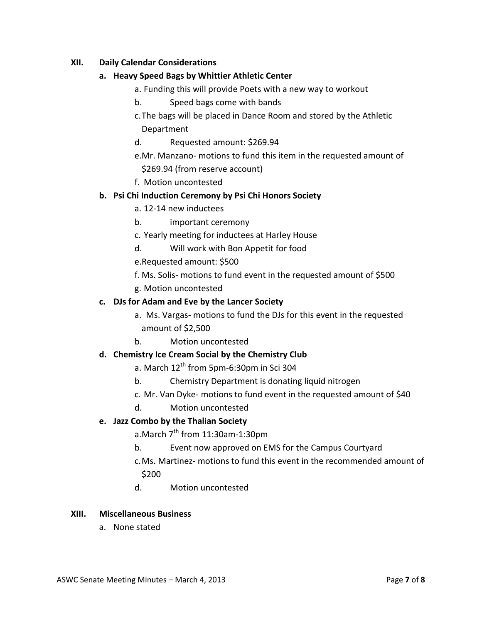## **XII. Daily Calendar Considerations**

## **a. Heavy Speed Bags by Whittier Athletic Center**

- a. Funding this will provide Poets with a new way to workout
- b. Speed bags come with bands
- c.The bags will be placed in Dance Room and stored by the Athletic Department
- d. Requested amount: \$269.94
- e.Mr. Manzano- motions to fund this item in the requested amount of \$269.94 (from reserve account)
- f. Motion uncontested

## **b. Psi Chi Induction Ceremony by Psi Chi Honors Society**

- a. 12-14 new inductees
- b. important ceremony
- c. Yearly meeting for inductees at Harley House
- d. Will work with Bon Appetit for food
- e.Requested amount: \$500
- f. Ms. Solis- motions to fund event in the requested amount of \$500
- g. Motion uncontested

#### **c. DJs for Adam and Eve by the Lancer Society**

- a. Ms. Vargas- motions to fund the DJs for this event in the requested amount of \$2,500
- b. Motion uncontested

#### **d. Chemistry Ice Cream Social by the Chemistry Club**

- a. March  $12^{th}$  from 5pm-6:30pm in Sci 304
- b. Chemistry Department is donating liquid nitrogen
- c. Mr. Van Dyke- motions to fund event in the requested amount of \$40
- d. Motion uncontested

#### **e. Jazz Combo by the Thalian Society**

a.March  $7<sup>th</sup>$  from 11:30am-1:30pm

- b. Event now approved on EMS for the Campus Courtyard
- c.Ms. Martinez- motions to fund this event in the recommended amount of \$200
- d. Motion uncontested

#### **XIII. Miscellaneous Business**

a. None stated